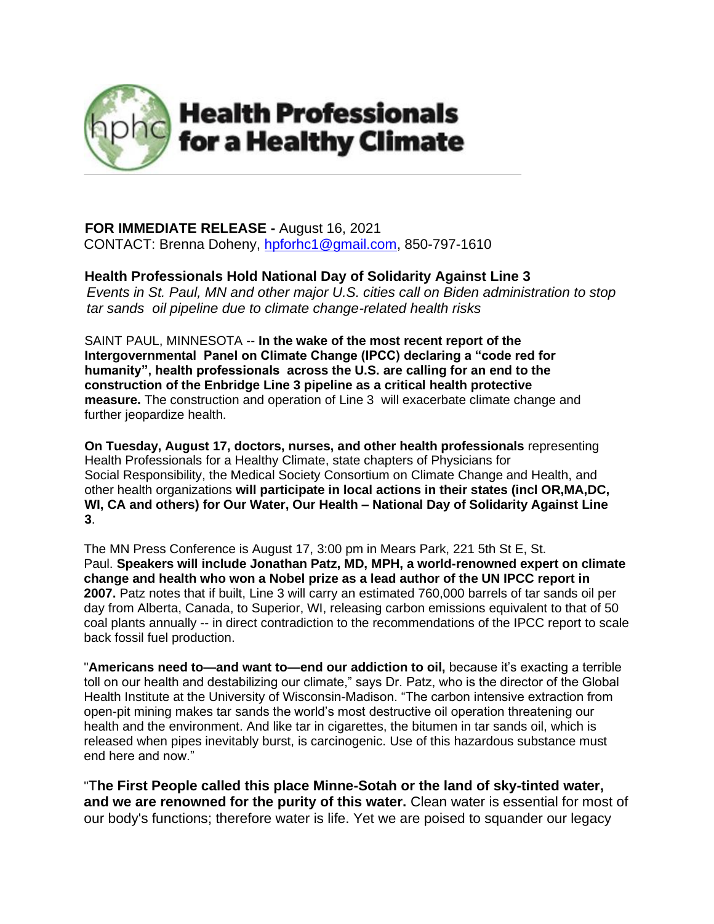

## **FOR IMMEDIATE RELEASE -** August 16, 2021

CONTACT: Brenna Doheny, [hpforhc1@gmail.com,](mailto:hpforhc1@gmail.com) 850-797-1610

## **Health Professionals Hold National Day of Solidarity Against Line 3**

*Events in St. Paul, MN and other major U.S. cities call on Biden administration to stop tar sands oil pipeline due to climate change-related health risks*

SAINT PAUL, MINNESOTA -- **In the wake of the most recent report of the Intergovernmental Panel on Climate Change (IPCC) declaring a "code red for humanity", health professionals across the U.S. are calling for an end to the construction of the Enbridge Line 3 pipeline as a critical health protective measure.** The construction and operation of Line 3 will exacerbate climate change and further jeopardize health.

**On Tuesday, August 17, doctors, nurses, and other health professionals** representing Health Professionals for a Healthy Climate, state chapters of Physicians for Social Responsibility, the Medical Society Consortium on Climate Change and Health, and other health organizations **will participate in local actions in their states (incl OR,MA,DC, WI, CA and others) for Our Water, Our Health – National Day of Solidarity Against Line 3**.

The MN Press Conference is August 17, 3:00 pm in Mears Park, 221 5th St E, St. Paul. **Speakers will include Jonathan Patz, MD, MPH, a world-renowned expert on climate change and health who won a Nobel prize as a lead author of the UN IPCC report in 2007.** Patz notes that if built, Line 3 will carry an estimated 760,000 barrels of tar sands oil per day from Alberta, Canada, to Superior, WI, releasing carbon emissions equivalent to that of 50 coal plants annually -- in direct contradiction to the recommendations of the IPCC report to scale back fossil fuel production.

"**Americans need to—and want to—end our addiction to oil,** because it's exacting a terrible toll on our health and destabilizing our climate," says Dr. Patz, who is the director of the Global Health Institute at the University of Wisconsin-Madison. "The carbon intensive extraction from open-pit mining makes tar sands the world's most destructive oil operation threatening our health and the environment. And like tar in cigarettes, the bitumen in tar sands oil, which is released when pipes inevitably burst, is carcinogenic. Use of this hazardous substance must end here and now."

"T**he First People called this place Minne-Sotah or the land of sky-tinted water, and we are renowned for the purity of this water.** Clean water is essential for most of our body's functions; therefore water is life. Yet we are poised to squander our legacy